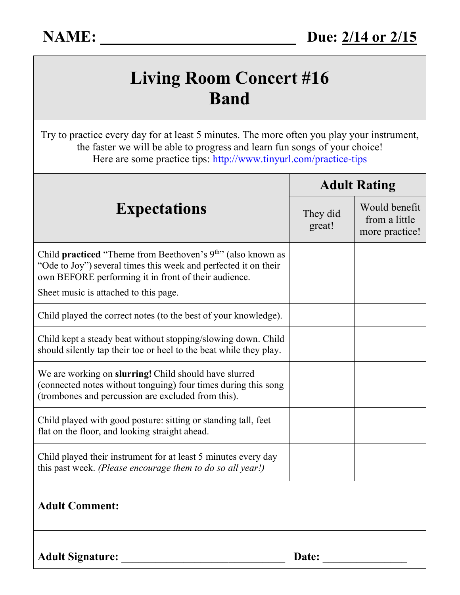## **Living Room Concert #16 Band**

Try to practice every day for at least 5 minutes. The more often you play your instrument, the faster we will be able to progress and learn fun songs of your choice! Here are some practice tips:<http://www.tinyurl.com/practice-tips>

| <b>Expectations</b>                                                                                                                                                                                                                       | <b>Adult Rating</b> |                                                  |
|-------------------------------------------------------------------------------------------------------------------------------------------------------------------------------------------------------------------------------------------|---------------------|--------------------------------------------------|
|                                                                                                                                                                                                                                           | They did<br>great!  | Would benefit<br>from a little<br>more practice! |
| Child <b>practiced</b> "Theme from Beethoven's $9th$ " (also known as<br>"Ode to Joy") several times this week and perfected it on their<br>own BEFORE performing it in front of their audience.<br>Sheet music is attached to this page. |                     |                                                  |
| Child played the correct notes (to the best of your knowledge).                                                                                                                                                                           |                     |                                                  |
| Child kept a steady beat without stopping/slowing down. Child<br>should silently tap their toe or heel to the beat while they play.                                                                                                       |                     |                                                  |
| We are working on slurring! Child should have slurred<br>(connected notes without tonguing) four times during this song<br>(trombones and percussion are excluded from this).                                                             |                     |                                                  |
| Child played with good posture: sitting or standing tall, feet<br>flat on the floor, and looking straight ahead.                                                                                                                          |                     |                                                  |
| Child played their instrument for at least 5 minutes every day<br>this past week. (Please encourage them to do so all year!)                                                                                                              |                     |                                                  |
| <b>Adult Comment:</b>                                                                                                                                                                                                                     |                     |                                                  |
| <b>Adult Signature:</b>                                                                                                                                                                                                                   | Date:               |                                                  |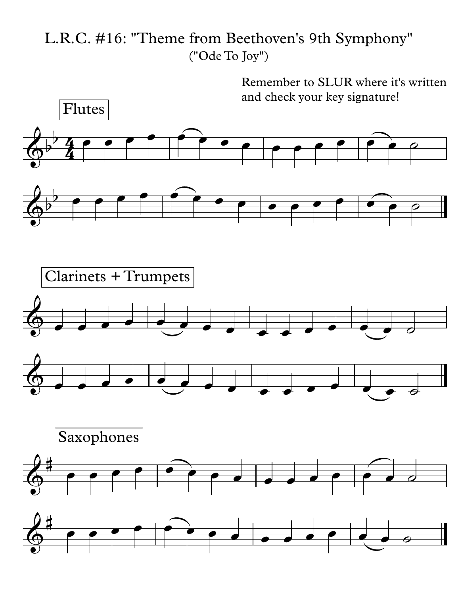L.R.C. #16: "Theme from Beethoven's 9th Symphony" ("Ode To Joy")